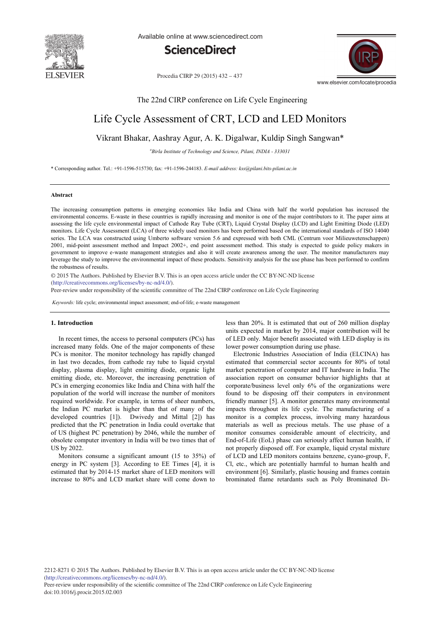

Available online at www.sciencedirect.com



Procedia CIRP 29 (2015) 432 - 437



The 22nd CIRP conference on Life Cycle Engineering

## Life Cycle Assessment of CRT, LCD and LED Monitors

### Vikrant Bhakar, Aashray Agur, A. K. Digalwar, Kuldip Singh Sangwan\*

*a Birla Institute of Technology and Science, Pilani, INDIA - 333031*

\* Corresponding author. Tel.: +91-1596-515730; fax: +91-1596-244183. *E-mail address: kss@pilani.bits-pilani.ac.in*

#### **Abstract**

The increasing consumption patterns in emerging economies like India and China with half the world population has increased the environmental concerns. E-waste in these countries is rapidly increasing and monitor is one of the major contributors to it. The paper aims at assessing the life cycle environmental impact of Cathode Ray Tube (CRT), Liquid Crystal Display (LCD) and Light Emitting Diode (LED) monitors. Life Cycle Assessment (LCA) of three widely used monitors has been performed based on the international standards of ISO 14040 series. The LCA was constructed using Umberto software version 5.6 and expressed with both CML (Centrum voor Milieuwetenschappen) 2001, mid-point assessment method and Impact 2002+, end point assessment method. This study is expected to guide policy makers in government to improve e-waste management strategies and also it will create awareness among the user. The monitor manufacturers may leverage the study to improve the environmental impact of these products. Sensitivity analysis for the use phase has been performed to confirm the robustness of results.

© 2015 The Authors. Published by Elsevier B.V. © 2015 The Authors. Published by Elsevier B.V. This is an open access article under the CC BY-NC-ND license (http://creativecommons.org/licenses/by-nc-nd/4.0/).

Peer-review under responsibility of the scientific committee of The 22nd CIRP conference on Life Cycle Engineering

*Keywords:* life cycle; environmental impact assessment; end-of-life; e-waste management

#### **1. Introduction**

In recent times, the access to personal computers (PCs) has increased many folds. One of the major components of these PCs is monitor. The monitor technology has rapidly changed in last two decades, from cathode ray tube to liquid crystal display, plasma display, light emitting diode, organic light emitting diode, etc. Moreover, the increasing penetration of PCs in emerging economies like India and China with half the population of the world will increase the number of monitors required worldwide. For example, in terms of sheer numbers, the Indian PC market is higher than that of many of the developed countries [1]). Dwivedy and Mittal [2]) has predicted that the PC penetration in India could overtake that of US (highest PC penetration) by 2046, while the number of obsolete computer inventory in India will be two times that of US by 2022.

Monitors consume a significant amount (15 to 35%) of energy in PC system [3]. According to EE Times [4], it is estimated that by 2014-15 market share of LED monitors will increase to 80% and LCD market share will come down to less than 20%. It is estimated that out of 260 million display units expected in market by 2014, major contribution will be of LED only. Major benefit associated with LED display is its lower power consumption during use phase.

Electronic Industries Association of India (ELCINA) has estimated that commercial sector accounts for 80% of total market penetration of computer and IT hardware in India. The association report on consumer behavior highlights that at corporate/business level only 6% of the organizations were found to be disposing off their computers in environment friendly manner [5]. A monitor generates many environmental impacts throughout its life cycle. The manufacturing of a monitor is a complex process, involving many hazardous materials as well as precious metals. The use phase of a monitor consumes considerable amount of electricity, and End-of-Life (EoL) phase can seriously affect human health, if not properly disposed off. For example, liquid crystal mixture of LCD and LED monitors contains benzene, cyano-group, F, Cl, etc., which are potentially harmful to human health and environment [6]. Similarly, plastic housing and frames contain brominated flame retardants such as Poly Brominated Di-

2212-8271 © 2015 The Authors. Published by Elsevier B.V. This is an open access article under the CC BY-NC-ND license (http://creativecommons.org/licenses/by-nc-nd/4.0/).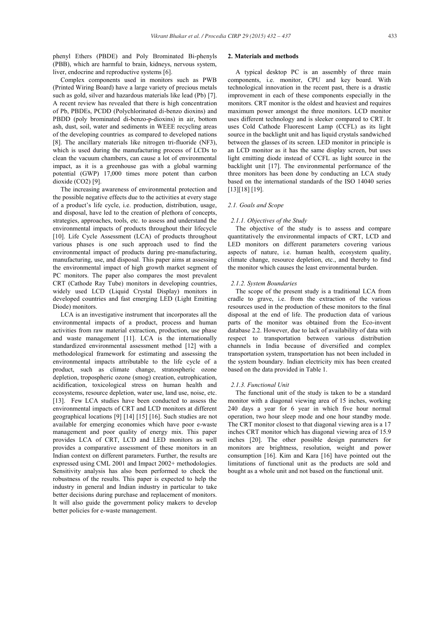phenyl Ethers (PBDE) and Poly Brominated Bi-phenyls (PBB), which are harmful to brain, kidneys, nervous system, liver, endocrine and reproductive systems [6].

Complex components used in monitors such as PWB (Printed Wiring Board) have a large variety of precious metals such as gold, silver and hazardous materials like lead (Pb) [7]. A recent review has revealed that there is high concentration of Pb, PBDEs, PCDD (Polychlorinated di-benzo dioxins) and PBDD (poly brominated di-benzo-p-dioxins) in air, bottom ash, dust, soil, water and sediments in WEEE recycling areas of the developing countries as compared to developed nations [8]. The ancillary materials like nitrogen tri-fluoride (NF3), which is used during the manufacturing process of LCDs to clean the vacuum chambers, can cause a lot of environmental impact, as it is a greenhouse gas with a global warming potential (GWP) 17,000 times more potent than carbon dioxide (CO2) [9].

The increasing awareness of environmental protection and the possible negative effects due to the activities at every stage of a product's life cycle, i.e. production, distribution, usage, and disposal, have led to the creation of plethora of concepts, strategies, approaches, tools, etc. to assess and understand the environmental impacts of products throughout their lifecycle [10]. Life Cycle Assessment (LCA) of products throughout various phases is one such approach used to find the environmental impact of products during pre-manufacturing. manufacturing, use, and disposal. This paper aims at assessing the environmental impact of high growth market segment of PC monitors. The paper also compares the most prevalent CRT (Cathode Ray Tube) monitors in developing countries, widely used LCD (Liquid Crystal Display) monitors in developed countries and fast emerging LED (Light Emitting Diode) monitors.

LCA is an investigative instrument that incorporates all the environmental impacts of a product, process and human activities from raw material extraction, production, use phase and waste management [11]. LCA is the internationally standardized environmental assessment method [12] with a methodological framework for estimating and assessing the environmental impacts attributable to the life cycle of a product, such as climate change, stratospheric ozone depletion, tropospheric ozone (smog) creation, eutrophication, acidification, toxicological stress on human health and ecosystems, resource depletion, water use, land use, noise, etc. [13]. Few LCA studies have been conducted to assess the environmental impacts of CRT and LCD monitors at different geographical locations [9] [14] [15] [16]. Such studies are not available for emerging economies which have poor e-waste management and poor quality of energy mix. This paper provides LCA of CRT, LCD and LED monitors as well provides a comparative assessment of these monitors in an Indian context on different parameters. Further, the results are expressed using CML 2001 and Impact 2002+ methodologies. Sensitivity analysis has also been performed to check the robustness of the results. This paper is expected to help the industry in general and Indian industry in particular to take better decisions during purchase and replacement of monitors. It will also guide the government policy makers to develop better policies for e-waste management.

#### **2. Materials and methods**

A typical desktop PC is an assembly of three main components, i.e. monitor, CPU and key board. With technological innovation in the recent past, there is a drastic improvement in each of these components especially in the monitors. CRT monitor is the oldest and heaviest and requires maximum power amongst the three monitors. LCD monitor uses different technology and is sleeker compared to CRT. It uses Cold Cathode Fluorescent Lamp (CCFL) as its light source in the backlight unit and has liquid crystals sandwiched between the glasses of its screen. LED monitor in principle is an LCD monitor as it has the same display screen, but uses light emitting diode instead of CCFL as light source in the backlight unit [17]. The environmental performance of the three monitors has been done by conducting an LCA study based on the international standards of the ISO 14040 series [13][18] [19].

#### *2.1. Goals and Scope*

#### *2.1.1. Objectives of the Study*

The objective of the study is to assess and compare quantitatively the environmental impacts of CRT, LCD and LED monitors on different parameters covering various aspects of nature, i.e. human health, ecosystem quality, climate change, resource depletion, etc., and thereby to find the monitor which causes the least environmental burden.

#### *2.1.2. System Boundaries*

The scope of the present study is a traditional LCA from cradle to grave, i.e. from the extraction of the various resources used in the production of these monitors to the final disposal at the end of life. The production data of various parts of the monitor was obtained from the Eco-invent database 2.2. However, due to lack of availability of data with respect to transportation between various distribution channels in India because of diversified and complex transportation system, transportation has not been included in the system boundary. Indian electricity mix has been created based on the data provided in Table 1.

#### *2.1.3. Functional Unit*

The functional unit of the study is taken to be a standard monitor with a diagonal viewing area of 15 inches, working 240 days a year for 6 year in which five hour normal operation, two hour sleep mode and one hour standby mode. The CRT monitor closest to that diagonal viewing area is a 17 inches CRT monitor which has diagonal viewing area of 15.9 inches [20]. The other possible design parameters for monitors are brightness, resolution, weight and power consumption [16]. Kim and Kara [16] have pointed out the limitations of functional unit as the products are sold and bought as a whole unit and not based on the functional unit.